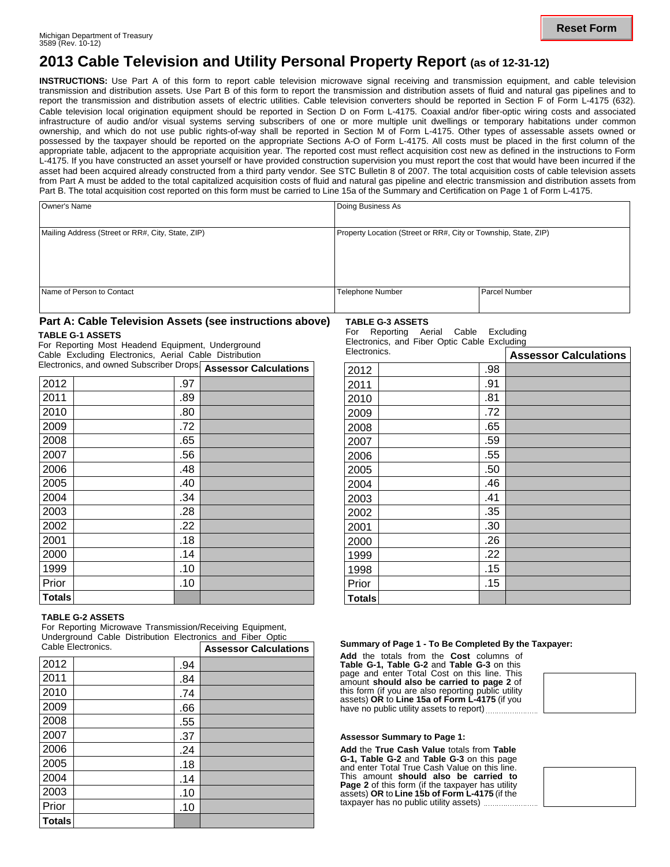# **2013 Cable Television and Utility Personal Property Report (as of 12-31-12)**

**INSTRUCTIONS:** Use Part A of this form to report cable television microwave signal receiving and transmission equipment, and cable television transmission and distribution assets. Use Part B of this form to report the transmission and distribution assets of fluid and natural gas pipelines and to report the transmission and distribution assets of electric utilities. Cable television converters should be reported in Section F of Form L-4175 (632)*.* Cable television local origination equipment should be reported in Section D on Form L-4175. Coaxial and/or fiber-optic wiring costs and associated infrastructure of audio and/or visual systems serving subscribers of one or more multiple unit dwellings or temporary habitations under common ownership, and which do not use public rights-of-way shall be reported in Section M of Form L-4175. Other types of assessable assets owned or possessed by the taxpayer should be reported on the appropriate Sections A-O of Form L-4175. All costs must be placed in the first column of the appropriate table, adjacent to the appropriate acquisition year. The reported cost must reflect acquisition cost new as defined in the instructions to Form L-4175. If you have constructed an asset yourself or have provided construction supervision you must report the cost that would have been incurred if the asset had been acquired already constructed from a third party vendor. See STC Bulletin 8 of 2007. The total acquisition costs of cable television assets from Part A must be added to the total capitalized acquisition costs of fluid and natural gas pipeline and electric transmission and distribution assets from Part B. The total acquisition cost reported on this form must be carried to Line 15a of the Summary and Certification on Page 1 of Form L-4175.

| Owner's Name                                      | Doing Business As                                               |                      |
|---------------------------------------------------|-----------------------------------------------------------------|----------------------|
| Mailing Address (Street or RR#, City, State, ZIP) | Property Location (Street or RR#, City or Township, State, ZIP) |                      |
|                                                   |                                                                 |                      |
|                                                   |                                                                 |                      |
| Name of Person to Contact                         | Telephone Number                                                | <b>Parcel Number</b> |

### **Part A: Cable Television Assets (see instructions above)**

#### **TABLE G-1 ASSETS**

For Reporting Most Headend Equipment, Underground Cable Excluding Electronics, Aerial Cable Distribution Electronics, and owned Subscriber Drops. **Assessor Calculations**

|               |     | Accessor calculations |
|---------------|-----|-----------------------|
| 2012          | .97 |                       |
| 2011          | .89 |                       |
| 2010          | .80 |                       |
| 2009          | .72 |                       |
| 2008          | .65 |                       |
| 2007          | .56 |                       |
| 2006          | .48 |                       |
| 2005          | .40 |                       |
| 2004          | .34 |                       |
| 2003          | .28 |                       |
| 2002          | .22 |                       |
| 2001          | .18 |                       |
| 2000          | .14 |                       |
| 1999          | .10 |                       |
| Prior         | .10 |                       |
| <b>Totals</b> |     |                       |

#### **TABLE G-2 ASSETS**

For Reporting Microwave Transmission/Receiving Equipment, Underground Cable Distribution Electronics and Fiber Optic

| Cable Electronics. |     | <b>Assessor Calculations</b> |
|--------------------|-----|------------------------------|
| 2012               | .94 |                              |
| 2011               | .84 |                              |
| 2010               | .74 |                              |
| 2009               | .66 |                              |
| 2008               | .55 |                              |
| 2007               | .37 |                              |
| 2006               | .24 |                              |
| 2005               | .18 |                              |
| 2004               | .14 |                              |
| 2003               | .10 |                              |
| Prior              | .10 |                              |
| <b>Totals</b>      |     |                              |

**TABLE G-3 ASSETS** For Reporting Aerial Cable Excluding

Electronics, and Fiber Optic Cable Excluding

| Electronics.  |     | <b>Assessor Calculations</b> |
|---------------|-----|------------------------------|
| 2012          | .98 |                              |
| 2011          | .91 |                              |
| 2010          | .81 |                              |
| 2009          | .72 |                              |
| 2008          | .65 |                              |
| 2007          | .59 |                              |
| 2006          | .55 |                              |
| 2005          | .50 |                              |
| 2004          | .46 |                              |
| 2003          | .41 |                              |
| 2002          | .35 |                              |
| 2001          | .30 |                              |
| 2000          | .26 |                              |
| 1999          | .22 |                              |
| 1998          | .15 |                              |
| Prior         | .15 |                              |
| <b>Totals</b> |     |                              |

#### Cable Electronics. **Summary of Page 1 - To Be Completed By the Taxpayer:**

**Add** the totals from the **Cost** columns of **Table G-1, Table G-2** and **Table G-3** on this page and enter Total Cost on this line. This amount **should also be carried to page 2** of this form (if you are also reporting public utility assets) **OR** to **Line 15a of Form L-4175** (if you have no public utility assets to report) ..............

#### **Assessor Summary to Page 1:**

**Add** the **True Cash Value** totals from **Table G-1, Table G-2** and **Table G-3** on this page and enter Total True Cash Value on this line. This amount **should also be carried to Page 2** of this form (if the taxpayer has utility assets) **OR** to **Line 15b of Form L-4175** (if the taxpayer has no public utility assets)